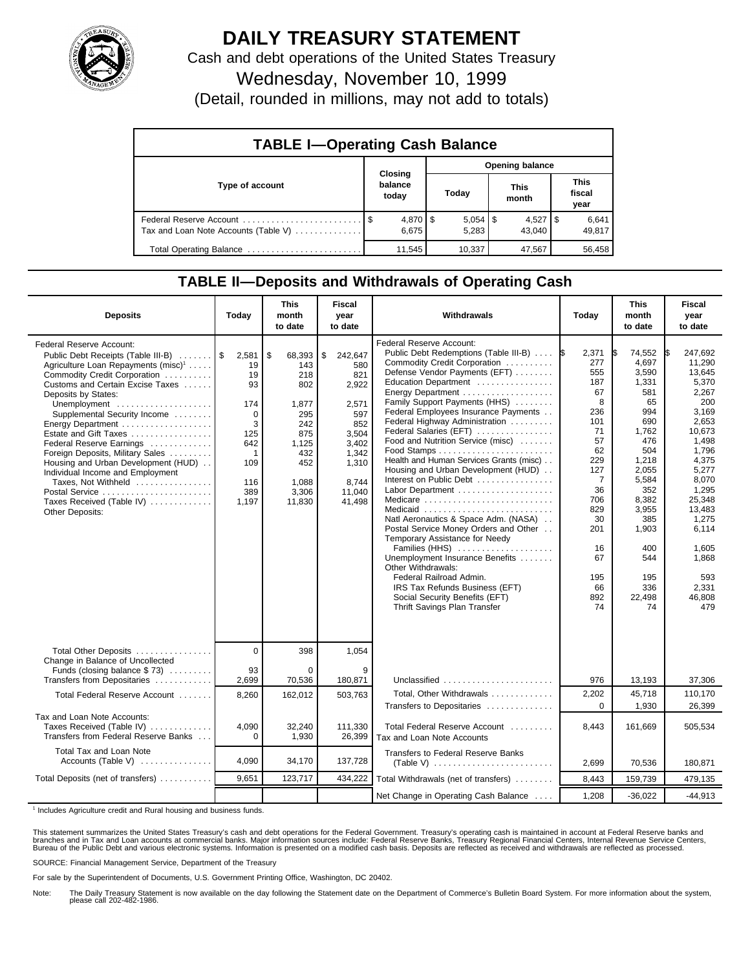

## **DAILY TREASURY STATEMENT**

Cash and debt operations of the United States Treasury Wednesday, November 10, 1999

(Detail, rounded in millions, may not add to totals)

| <b>TABLE I-Operating Cash Balance</b> |  |                             |                 |        |  |                      |  |                        |  |
|---------------------------------------|--|-----------------------------|-----------------|--------|--|----------------------|--|------------------------|--|
|                                       |  |                             | Opening balance |        |  |                      |  |                        |  |
| Type of account                       |  | Closing<br>balance<br>today |                 | Today  |  | <b>This</b><br>month |  | This<br>fiscal<br>year |  |
| Tax and Loan Note Accounts (Table V)  |  | $4,870$   \$<br>6.675       |                 | 5.283  |  | 43.040               |  | 6,641<br>49,817        |  |
| Total Operating Balance               |  | 11,545                      |                 | 10,337 |  | 47,567               |  | 56,458                 |  |

## **TABLE II—Deposits and Withdrawals of Operating Cash**

| <b>Deposits</b>                                                                                                                                                                                                                                                                                                                                                                                                                                                                                                                                       | Today                                                                                                       | <b>This</b><br>month<br>to date                                                                                    | <b>Fiscal</b><br>year<br>to date                                                                                             | Withdrawals                                                                                                                                                                                                                                                                                                                                                                                                                                                                                                                                                                                                                                                                                                                                                                                                                | Today                                                                                                                                                                  | <b>This</b><br>month<br>to date                                                                                                                                                                            | <b>Fiscal</b><br>year<br>to date                                                                                                                                                                                                |
|-------------------------------------------------------------------------------------------------------------------------------------------------------------------------------------------------------------------------------------------------------------------------------------------------------------------------------------------------------------------------------------------------------------------------------------------------------------------------------------------------------------------------------------------------------|-------------------------------------------------------------------------------------------------------------|--------------------------------------------------------------------------------------------------------------------|------------------------------------------------------------------------------------------------------------------------------|----------------------------------------------------------------------------------------------------------------------------------------------------------------------------------------------------------------------------------------------------------------------------------------------------------------------------------------------------------------------------------------------------------------------------------------------------------------------------------------------------------------------------------------------------------------------------------------------------------------------------------------------------------------------------------------------------------------------------------------------------------------------------------------------------------------------------|------------------------------------------------------------------------------------------------------------------------------------------------------------------------|------------------------------------------------------------------------------------------------------------------------------------------------------------------------------------------------------------|---------------------------------------------------------------------------------------------------------------------------------------------------------------------------------------------------------------------------------|
| <b>Federal Reserve Account:</b><br>Public Debt Receipts (Table III-B)<br>Agriculture Loan Repayments (misc) <sup>1</sup><br>Commodity Credit Corporation<br>Customs and Certain Excise Taxes<br>Deposits by States:<br>Unemployment<br>Supplemental Security Income<br>Energy Department<br>Estate and Gift Taxes<br>Federal Reserve Earnings<br>Foreign Deposits, Military Sales<br>Housing and Urban Development (HUD)<br>Individual Income and Employment<br>Taxes, Not Withheld<br>Postal Service<br>Taxes Received (Table IV)<br>Other Deposits: | 2,581<br>19<br>19<br>93<br>174<br>$\Omega$<br>3<br>125<br>642<br>$\mathbf{1}$<br>109<br>116<br>389<br>1,197 | \$<br>68,393<br>143<br>218<br>802<br>1,877<br>295<br>242<br>875<br>1,125<br>432<br>452<br>1,088<br>3,306<br>11,830 | \$<br>242,647<br>580<br>821<br>2,922<br>2,571<br>597<br>852<br>3,504<br>3,402<br>1,342<br>1,310<br>8.744<br>11,040<br>41.498 | Federal Reserve Account:<br>Public Debt Redemptions (Table III-B)<br>Commodity Credit Corporation<br>Defense Vendor Payments (EFT)<br>Education Department<br>Family Support Payments (HHS)<br>Federal Employees Insurance Payments<br>Federal Highway Administration<br>Federal Salaries (EFT)<br>Food and Nutrition Service (misc)<br>Health and Human Services Grants (misc)<br>Housing and Urban Development (HUD)<br>Interest on Public Debt<br>Labor Department<br>Medicare<br>Medicaid<br>Natl Aeronautics & Space Adm. (NASA)<br>Postal Service Money Orders and Other<br>Temporary Assistance for Needy<br>Families (HHS)<br>Unemployment Insurance Benefits<br>Other Withdrawals:<br>Federal Railroad Admin.<br>IRS Tax Refunds Business (EFT)<br>Social Security Benefits (EFT)<br>Thrift Savings Plan Transfer | 2,371<br>I\$<br>277<br>555<br>187<br>67<br>8<br>236<br>101<br>71<br>57<br>62<br>229<br>127<br>7<br>36<br>706<br>829<br>30<br>201<br>16<br>67<br>195<br>66<br>892<br>74 | 74,552<br>I\$<br>4.697<br>3,590<br>1,331<br>581<br>65<br>994<br>690<br>1,762<br>476<br>504<br>1,218<br>2,055<br>5,584<br>352<br>8,382<br>3,955<br>385<br>1,903<br>400<br>544<br>195<br>336<br>22,498<br>74 | 247.692<br>11.290<br>13,645<br>5,370<br>2,267<br>200<br>3,169<br>2.653<br>10.673<br>1.498<br>1,796<br>4,375<br>5,277<br>8.070<br>1,295<br>25,348<br>13,483<br>1.275<br>6,114<br>1,605<br>1,868<br>593<br>2,331<br>46.808<br>479 |
| Total Other Deposits<br>Change in Balance of Uncollected                                                                                                                                                                                                                                                                                                                                                                                                                                                                                              | $\Omega$                                                                                                    | 398                                                                                                                | 1,054                                                                                                                        |                                                                                                                                                                                                                                                                                                                                                                                                                                                                                                                                                                                                                                                                                                                                                                                                                            |                                                                                                                                                                        |                                                                                                                                                                                                            |                                                                                                                                                                                                                                 |
| Funds (closing balance \$73)<br>Transfers from Depositaries                                                                                                                                                                                                                                                                                                                                                                                                                                                                                           | 93<br>2,699                                                                                                 | $\Omega$<br>70,536                                                                                                 | 9<br>180,871                                                                                                                 | Unclassified                                                                                                                                                                                                                                                                                                                                                                                                                                                                                                                                                                                                                                                                                                                                                                                                               | 976                                                                                                                                                                    | 13,193                                                                                                                                                                                                     | 37,306                                                                                                                                                                                                                          |
| Total Federal Reserve Account                                                                                                                                                                                                                                                                                                                                                                                                                                                                                                                         | 8,260                                                                                                       | 162,012                                                                                                            | 503,763                                                                                                                      | Total, Other Withdrawals                                                                                                                                                                                                                                                                                                                                                                                                                                                                                                                                                                                                                                                                                                                                                                                                   | 2,202                                                                                                                                                                  | 45,718                                                                                                                                                                                                     | 110,170                                                                                                                                                                                                                         |
|                                                                                                                                                                                                                                                                                                                                                                                                                                                                                                                                                       |                                                                                                             |                                                                                                                    |                                                                                                                              | Transfers to Depositaries                                                                                                                                                                                                                                                                                                                                                                                                                                                                                                                                                                                                                                                                                                                                                                                                  | $\Omega$                                                                                                                                                               | 1,930                                                                                                                                                                                                      | 26,399                                                                                                                                                                                                                          |
| Tax and Loan Note Accounts:<br>Taxes Received (Table IV)<br>Transfers from Federal Reserve Banks                                                                                                                                                                                                                                                                                                                                                                                                                                                      | 4,090<br>$\Omega$                                                                                           | 32,240<br>1,930                                                                                                    | 111,330<br>26,399                                                                                                            | Total Federal Reserve Account<br>Tax and Loan Note Accounts                                                                                                                                                                                                                                                                                                                                                                                                                                                                                                                                                                                                                                                                                                                                                                | 8,443                                                                                                                                                                  | 161,669                                                                                                                                                                                                    | 505,534                                                                                                                                                                                                                         |
| Total Tax and Loan Note<br>Accounts (Table V) $\ldots$                                                                                                                                                                                                                                                                                                                                                                                                                                                                                                | 4,090                                                                                                       | 34,170                                                                                                             | 137,728                                                                                                                      | Transfers to Federal Reserve Banks<br>$(Table V)$                                                                                                                                                                                                                                                                                                                                                                                                                                                                                                                                                                                                                                                                                                                                                                          | 2,699                                                                                                                                                                  | 70,536                                                                                                                                                                                                     | 180,871                                                                                                                                                                                                                         |
| Total Deposits (net of transfers)                                                                                                                                                                                                                                                                                                                                                                                                                                                                                                                     | 9.651                                                                                                       | 123,717                                                                                                            | 434,222                                                                                                                      | Total Withdrawals (net of transfers)                                                                                                                                                                                                                                                                                                                                                                                                                                                                                                                                                                                                                                                                                                                                                                                       | 8,443                                                                                                                                                                  | 159,739                                                                                                                                                                                                    | 479,135                                                                                                                                                                                                                         |
|                                                                                                                                                                                                                                                                                                                                                                                                                                                                                                                                                       |                                                                                                             |                                                                                                                    |                                                                                                                              | Net Change in Operating Cash Balance                                                                                                                                                                                                                                                                                                                                                                                                                                                                                                                                                                                                                                                                                                                                                                                       | 1,208                                                                                                                                                                  | $-36,022$                                                                                                                                                                                                  | $-44,913$                                                                                                                                                                                                                       |

<sup>1</sup> Includes Agriculture credit and Rural housing and business funds.

This statement summarizes the United States Treasury's cash and debt operations for the Federal Government. Treasury's operating cash is maintained in account at Federal Reserve banks and<br>branches and in Tax and Loan accou

SOURCE: Financial Management Service, Department of the Treasury

For sale by the Superintendent of Documents, U.S. Government Printing Office, Washington, DC 20402.

Note: The Daily Treasury Statement is now available on the day following the Statement date on the Department of Commerce's Bulletin Board System. For more information about the system, please call 202-482-1986.